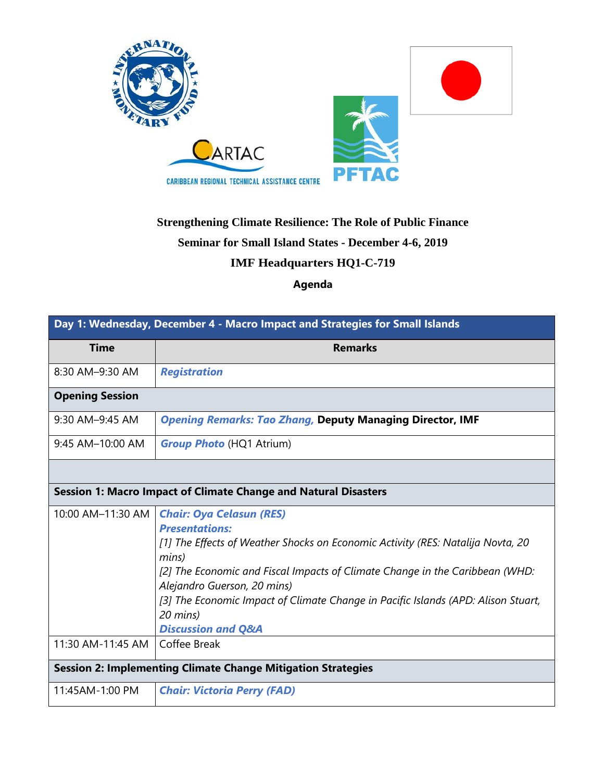

## **Strengthening Climate Resilience: The Role of Public Finance Seminar for Small Island States - December 4-6, 2019 IMF Headquarters HQ1-C-719**

## **Agenda**

| Day 1: Wednesday, December 4 - Macro Impact and Strategies for Small Islands |                                                                                                                                                                                                                                                                                                                                                                                                       |  |
|------------------------------------------------------------------------------|-------------------------------------------------------------------------------------------------------------------------------------------------------------------------------------------------------------------------------------------------------------------------------------------------------------------------------------------------------------------------------------------------------|--|
| <b>Time</b>                                                                  | <b>Remarks</b>                                                                                                                                                                                                                                                                                                                                                                                        |  |
| 8:30 AM-9:30 AM                                                              | <b>Registration</b>                                                                                                                                                                                                                                                                                                                                                                                   |  |
| <b>Opening Session</b>                                                       |                                                                                                                                                                                                                                                                                                                                                                                                       |  |
| 9:30 AM-9:45 AM                                                              | <b>Opening Remarks: Tao Zhang, Deputy Managing Director, IMF</b>                                                                                                                                                                                                                                                                                                                                      |  |
| 9:45 AM-10:00 AM                                                             | <b>Group Photo (HQ1 Atrium)</b>                                                                                                                                                                                                                                                                                                                                                                       |  |
|                                                                              |                                                                                                                                                                                                                                                                                                                                                                                                       |  |
| <b>Session 1: Macro Impact of Climate Change and Natural Disasters</b>       |                                                                                                                                                                                                                                                                                                                                                                                                       |  |
| 10:00 AM-11:30 AM                                                            | <b>Chair: Oya Celasun (RES)</b><br><b>Presentations:</b><br>[1] The Effects of Weather Shocks on Economic Activity (RES: Natalija Novta, 20<br>mins)<br>[2] The Economic and Fiscal Impacts of Climate Change in the Caribbean (WHD:<br>Alejandro Guerson, 20 mins)<br>[3] The Economic Impact of Climate Change in Pacific Islands (APD: Alison Stuart,<br>20 mins)<br><b>Discussion and Q&amp;A</b> |  |
| 11:30 AM-11:45 AM                                                            | Coffee Break                                                                                                                                                                                                                                                                                                                                                                                          |  |
| <b>Session 2: Implementing Climate Change Mitigation Strategies</b>          |                                                                                                                                                                                                                                                                                                                                                                                                       |  |
| 11:45AM-1:00 PM                                                              | <b>Chair: Victoria Perry (FAD)</b>                                                                                                                                                                                                                                                                                                                                                                    |  |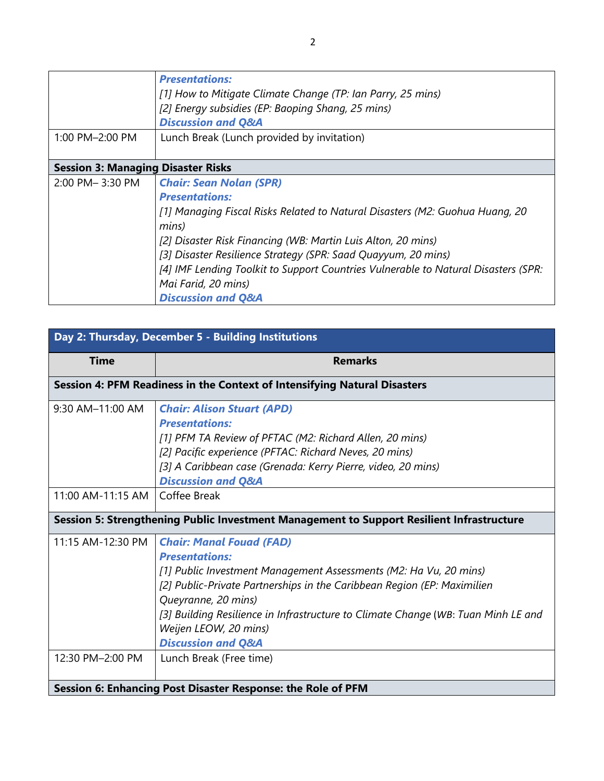|                                           | <b>Presentations:</b><br>[1] How to Mitigate Climate Change (TP: Ian Parry, 25 mins)<br>[2] Energy subsidies (EP: Baoping Shang, 25 mins)<br><b>Discussion and Q&amp;A</b>                                                                                                                                                                                                                                                      |
|-------------------------------------------|---------------------------------------------------------------------------------------------------------------------------------------------------------------------------------------------------------------------------------------------------------------------------------------------------------------------------------------------------------------------------------------------------------------------------------|
| 1:00 PM-2:00 PM                           | Lunch Break (Lunch provided by invitation)                                                                                                                                                                                                                                                                                                                                                                                      |
| <b>Session 3: Managing Disaster Risks</b> |                                                                                                                                                                                                                                                                                                                                                                                                                                 |
| 2:00 PM-3:30 PM                           | <b>Chair: Sean Nolan (SPR)</b><br><b>Presentations:</b><br>[1] Managing Fiscal Risks Related to Natural Disasters (M2: Guohua Huang, 20<br>mins)<br>[2] Disaster Risk Financing (WB: Martin Luis Alton, 20 mins)<br>[3] Disaster Resilience Strategy (SPR: Saad Quayyum, 20 mins)<br>[4] IMF Lending Toolkit to Support Countries Vulnerable to Natural Disasters (SPR:<br>Mai Farid, 20 mins)<br><b>Discussion and Q&amp;A</b> |

| Day 2: Thursday, December 5 - Building Institutions                                       |                                                                                                                                                                                                                                                                                                                                                                                                           |  |
|-------------------------------------------------------------------------------------------|-----------------------------------------------------------------------------------------------------------------------------------------------------------------------------------------------------------------------------------------------------------------------------------------------------------------------------------------------------------------------------------------------------------|--|
| <b>Time</b>                                                                               | <b>Remarks</b>                                                                                                                                                                                                                                                                                                                                                                                            |  |
| Session 4: PFM Readiness in the Context of Intensifying Natural Disasters                 |                                                                                                                                                                                                                                                                                                                                                                                                           |  |
| 9:30 AM-11:00 AM                                                                          | <b>Chair: Alison Stuart (APD)</b><br><b>Presentations:</b><br>[1] PFM TA Review of PFTAC (M2: Richard Allen, 20 mins)<br>[2] Pacific experience (PFTAC: Richard Neves, 20 mins)<br>[3] A Caribbean case (Grenada: Kerry Pierre, video, 20 mins)<br><b>Discussion and Q&amp;A</b>                                                                                                                          |  |
| 11:00 AM-11:15 AM   Coffee Break                                                          |                                                                                                                                                                                                                                                                                                                                                                                                           |  |
| Session 5: Strengthening Public Investment Management to Support Resilient Infrastructure |                                                                                                                                                                                                                                                                                                                                                                                                           |  |
| 11:15 AM-12:30 PM<br>12:30 PM-2:00 PM                                                     | <b>Chair: Manal Fouad (FAD)</b><br><b>Presentations:</b><br>[1] Public Investment Management Assessments (M2: Ha Vu, 20 mins)<br>[2] Public-Private Partnerships in the Caribbean Region (EP: Maximilien<br>Queyranne, 20 mins)<br>[3] Building Resilience in Infrastructure to Climate Change (WB: Tuan Minh LE and<br>Weijen LEOW, 20 mins)<br><b>Discussion and Q&amp;A</b><br>Lunch Break (Free time) |  |
|                                                                                           |                                                                                                                                                                                                                                                                                                                                                                                                           |  |
|                                                                                           | Session 6: Enhancing Post Disaster Response: the Role of PFM                                                                                                                                                                                                                                                                                                                                              |  |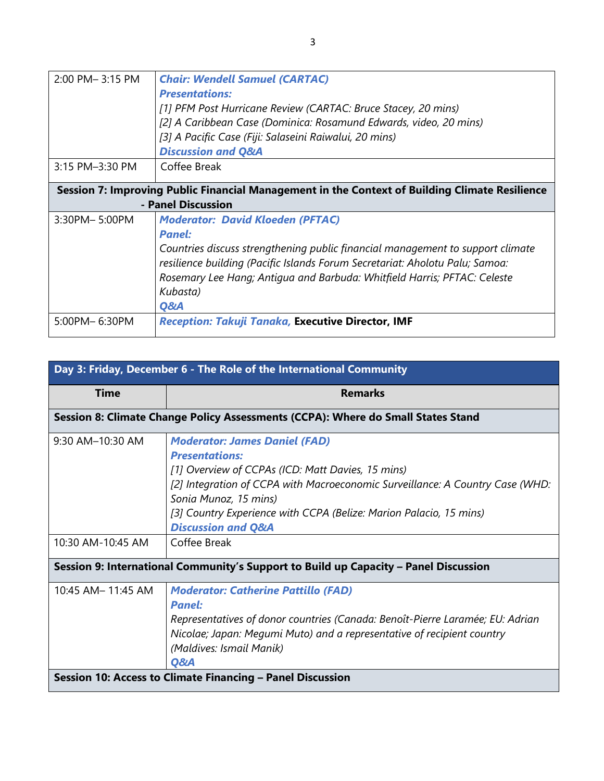| 2:00 PM-3:15 PM                                                                                                      | <b>Chair: Wendell Samuel (CARTAC)</b><br><b>Presentations:</b><br>[1] PFM Post Hurricane Review (CARTAC: Bruce Stacey, 20 mins)<br>[2] A Caribbean Case (Dominica: Rosamund Edwards, video, 20 mins)<br>[3] A Pacific Case (Fiji: Salaseini Raiwalui, 20 mins)<br><b>Discussion and Q&amp;A</b>                           |  |
|----------------------------------------------------------------------------------------------------------------------|---------------------------------------------------------------------------------------------------------------------------------------------------------------------------------------------------------------------------------------------------------------------------------------------------------------------------|--|
| 3:15 PM-3:30 PM                                                                                                      | Coffee Break                                                                                                                                                                                                                                                                                                              |  |
| Session 7: Improving Public Financial Management in the Context of Building Climate Resilience<br>- Panel Discussion |                                                                                                                                                                                                                                                                                                                           |  |
| 3:30PM-5:00PM                                                                                                        | <b>Moderator: David Kloeden (PFTAC)</b><br><b>Panel:</b><br>Countries discuss strengthening public financial management to support climate<br>resilience building (Pacific Islands Forum Secretariat: Aholotu Palu; Samoa:<br>Rosemary Lee Hang; Antiqua and Barbuda: Whitfield Harris; PFTAC: Celeste<br>Kubasta)<br>Q&A |  |
| 5:00PM-6:30PM                                                                                                        | Reception: Takuji Tanaka, Executive Director, IMF                                                                                                                                                                                                                                                                         |  |

| Day 3: Friday, December 6 - The Role of the International Community                  |                                                                                                                                                                                                                                                                                                                                     |  |  |
|--------------------------------------------------------------------------------------|-------------------------------------------------------------------------------------------------------------------------------------------------------------------------------------------------------------------------------------------------------------------------------------------------------------------------------------|--|--|
| <b>Time</b>                                                                          | <b>Remarks</b>                                                                                                                                                                                                                                                                                                                      |  |  |
| Session 8: Climate Change Policy Assessments (CCPA): Where do Small States Stand     |                                                                                                                                                                                                                                                                                                                                     |  |  |
| 9:30 AM-10:30 AM                                                                     | <b>Moderator: James Daniel (FAD)</b><br><b>Presentations:</b><br>[1] Overview of CCPAs (ICD: Matt Davies, 15 mins)<br>[2] Integration of CCPA with Macroeconomic Surveillance: A Country Case (WHD:<br>Sonia Munoz, 15 mins)<br>[3] Country Experience with CCPA (Belize: Marion Palacio, 15 mins)<br><b>Discussion and Q&amp;A</b> |  |  |
| 10:30 AM-10:45 AM                                                                    | Coffee Break                                                                                                                                                                                                                                                                                                                        |  |  |
| Session 9: International Community's Support to Build up Capacity - Panel Discussion |                                                                                                                                                                                                                                                                                                                                     |  |  |
| 10:45 AM- 11:45 AM                                                                   | <b>Moderator: Catherine Pattillo (FAD)</b><br><b>Panel:</b><br>Representatives of donor countries (Canada: Benoît-Pierre Laramée; EU: Adrian<br>Nicolae; Japan: Megumi Muto) and a representative of recipient country<br>(Maldives: Ismail Manik)<br>Q&A                                                                           |  |  |
|                                                                                      | Session 10: Access to Climate Financing - Panel Discussion                                                                                                                                                                                                                                                                          |  |  |